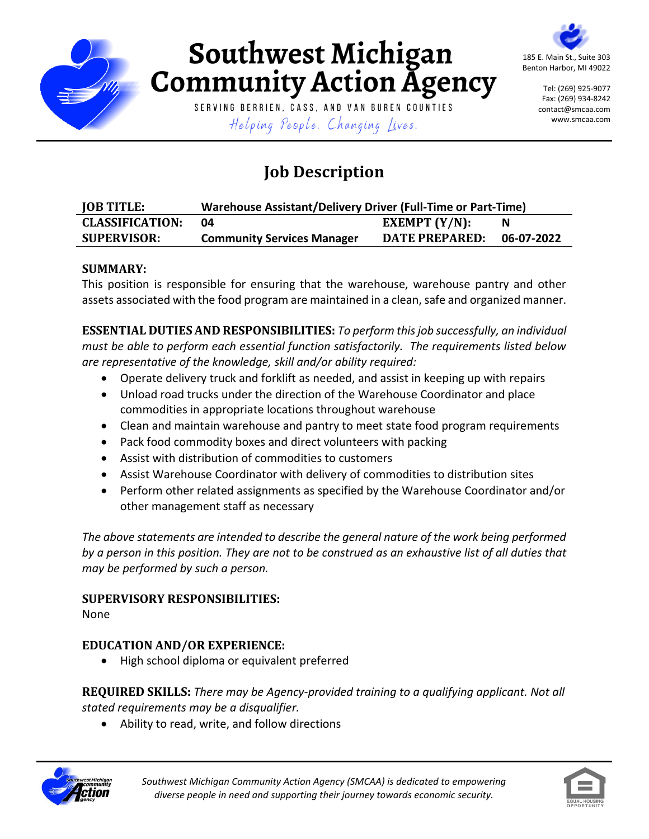

# Southwest Michigan **Community Action Agency**

SERVING BERRIEN, CASS, AND VAN BUREN COUNTIES Helping People. Changing Lives.

185 E. Main St., Suite 303 Benton Harbor, MI 49022

> Tel: (269) 925-9077 Fax: (269) 934-8242 contact@smcaa.com www.smcaa.com

# **Job Description**

| <b>JOB TITLE:</b>      | Warehouse Assistant/Delivery Driver (Full-Time or Part-Time) |                       |            |
|------------------------|--------------------------------------------------------------|-----------------------|------------|
| <b>CLASSIFICATION:</b> | 04                                                           | EXEMPT $(Y/N)$ :      |            |
| <b>SUPERVISOR:</b>     | <b>Community Services Manager</b>                            | <b>DATE PREPARED:</b> | 06-07-2022 |

### **SUMMARY:**

This position is responsible for ensuring that the warehouse, warehouse pantry and other assets associated with the food program are maintained in a clean, safe and organized manner.

**ESSENTIAL DUTIES AND RESPONSIBILITIES:** *To perform this job successfully, an individual must be able to perform each essential function satisfactorily. The requirements listed below are representative of the knowledge, skill and/or ability required:*

- Operate delivery truck and forklift as needed, and assist in keeping up with repairs
- Unload road trucks under the direction of the Warehouse Coordinator and place commodities in appropriate locations throughout warehouse
- Clean and maintain warehouse and pantry to meet state food program requirements
- Pack food commodity boxes and direct volunteers with packing
- Assist with distribution of commodities to customers
- Assist Warehouse Coordinator with delivery of commodities to distribution sites
- Perform other related assignments as specified by the Warehouse Coordinator and/or other management staff as necessary

*The above statements are intended to describe the general nature of the work being performed by a person in this position. They are not to be construed as an exhaustive list of all duties that may be performed by such a person.*

# **SUPERVISORY RESPONSIBILITIES:**

None

# **EDUCATION AND/OR EXPERIENCE:**

• High school diploma or equivalent preferred

**REQUIRED SKILLS:** *There may be Agency-provided training to a qualifying applicant. Not all stated requirements may be a disqualifier.*

Ability to read, write, and follow directions



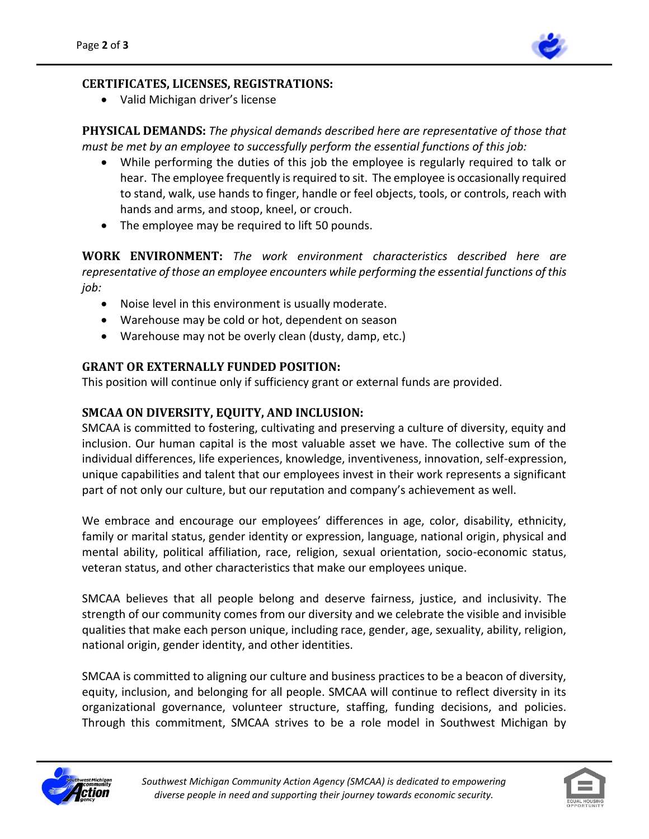

#### **CERTIFICATES, LICENSES, REGISTRATIONS:**

Valid Michigan driver's license

**PHYSICAL DEMANDS:** *The physical demands described here are representative of those that must be met by an employee to successfully perform the essential functions of this job:*

- While performing the duties of this job the employee is regularly required to talk or hear. The employee frequently is required to sit. The employee is occasionally required to stand, walk, use hands to finger, handle or feel objects, tools, or controls, reach with hands and arms, and stoop, kneel, or crouch.
- The employee may be required to lift 50 pounds.

**WORK ENVIRONMENT:** *The work environment characteristics described here are representative of those an employee encounters while performing the essential functions of this job:*

- Noise level in this environment is usually moderate.
- Warehouse may be cold or hot, dependent on season
- Warehouse may not be overly clean (dusty, damp, etc.)

#### **GRANT OR EXTERNALLY FUNDED POSITION:**

This position will continue only if sufficiency grant or external funds are provided.

#### **SMCAA ON DIVERSITY, EQUITY, AND INCLUSION:**

SMCAA is committed to fostering, cultivating and preserving a culture of diversity, equity and inclusion. Our human capital is the most valuable asset we have. The collective sum of the individual differences, life experiences, knowledge, inventiveness, innovation, self-expression, unique capabilities and talent that our employees invest in their work represents a significant part of not only our culture, but our reputation and company's achievement as well.

We embrace and encourage our employees' differences in age, color, disability, ethnicity, family or marital status, gender identity or expression, language, national origin, physical and mental ability, political affiliation, race, religion, sexual orientation, socio-economic status, veteran status, and other characteristics that make our employees unique.

SMCAA believes that all people belong and deserve fairness, justice, and inclusivity. The strength of our community comes from our diversity and we celebrate the visible and invisible qualities that make each person unique, including race, gender, age, sexuality, ability, religion, national origin, gender identity, and other identities.

SMCAA is committed to aligning our culture and business practices to be a beacon of diversity, equity, inclusion, and belonging for all people. SMCAA will continue to reflect diversity in its organizational governance, volunteer structure, staffing, funding decisions, and policies. Through this commitment, SMCAA strives to be a role model in Southwest Michigan by